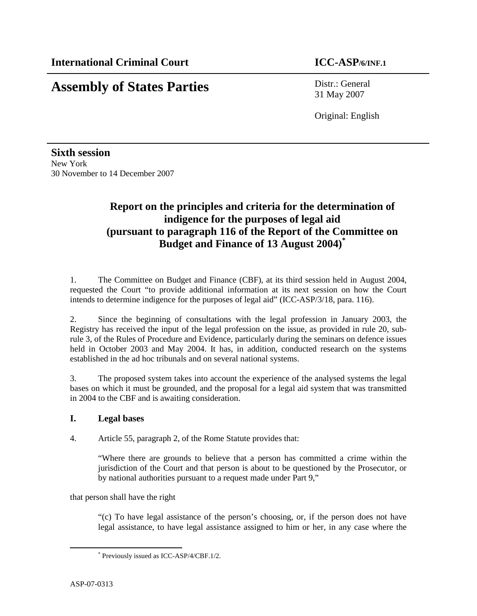# **Assembly of States Parties** Distr.: General

31 May 2007

Original: English

**Sixth session**  New York 30 November to 14 December 2007

# **Report on the principles and criteria for the determination of indigence for the purposes of legal aid (pursuant to paragraph 116 of the Report of the Committee on Budget and Finance of 13 August 2004)\***

1. The Committee on Budget and Finance (CBF), at its third session held in August 2004, requested the Court "to provide additional information at its next session on how the Court intends to determine indigence for the purposes of legal aid" (ICC-ASP/3/18, para. 116).

2. Since the beginning of consultations with the legal profession in January 2003, the Registry has received the input of the legal profession on the issue, as provided in rule 20, subrule 3, of the Rules of Procedure and Evidence, particularly during the seminars on defence issues held in October 2003 and May 2004. It has, in addition, conducted research on the systems established in the ad hoc tribunals and on several national systems.

3. The proposed system takes into account the experience of the analysed systems the legal bases on which it must be grounded, and the proposal for a legal aid system that was transmitted in 2004 to the CBF and is awaiting consideration.

# **I. Legal bases**

4. Article 55, paragraph 2, of the Rome Statute provides that:

"Where there are grounds to believe that a person has committed a crime within the jurisdiction of the Court and that person is about to be questioned by the Prosecutor, or by national authorities pursuant to a request made under Part 9,"

that person shall have the right

"(c) To have legal assistance of the person's choosing, or, if the person does not have legal assistance, to have legal assistance assigned to him or her, in any case where the

 $\overline{a}$ 

<sup>\*</sup> Previously issued as ICC-ASP/4/CBF.1/2.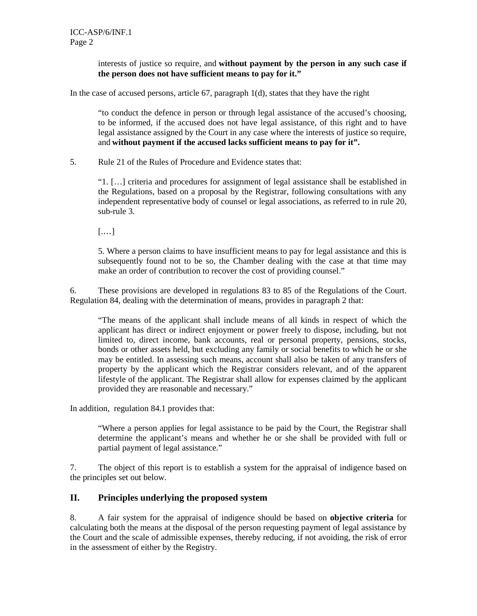interests of justice so require, and **without payment by the person in any such case if the person does not have sufficient means to pay for it."** 

In the case of accused persons, article 67, paragraph 1(d), states that they have the right

"to conduct the defence in person or through legal assistance of the accused's choosing, to be informed, if the accused does not have legal assistance, of this right and to have legal assistance assigned by the Court in any case where the interests of justice so require, and **without payment if the accused lacks sufficient means to pay for it".**

5. Rule 21 of the Rules of Procedure and Evidence states that:

"1. […] criteria and procedures for assignment of legal assistance shall be established in the Regulations, based on a proposal by the Registrar, following consultations with any independent representative body of counsel or legal associations, as referred to in rule 20, sub-rule 3.

[.…]

5. Where a person claims to have insufficient means to pay for legal assistance and this is subsequently found not to be so, the Chamber dealing with the case at that time may make an order of contribution to recover the cost of providing counsel."

6. These provisions are developed in regulations 83 to 85 of the Regulations of the Court. Regulation 84, dealing with the determination of means, provides in paragraph 2 that:

"The means of the applicant shall include means of all kinds in respect of which the applicant has direct or indirect enjoyment or power freely to dispose, including, but not limited to, direct income, bank accounts, real or personal property, pensions, stocks, bonds or other assets held, but excluding any family or social benefits to which he or she may be entitled. In assessing such means, account shall also be taken of any transfers of property by the applicant which the Registrar considers relevant, and of the apparent lifestyle of the applicant. The Registrar shall allow for expenses claimed by the applicant provided they are reasonable and necessary."

In addition, regulation 84.1 provides that:

"Where a person applies for legal assistance to be paid by the Court, the Registrar shall determine the applicant's means and whether he or she shall be provided with full or partial payment of legal assistance."

7. The object of this report is to establish a system for the appraisal of indigence based on the principles set out below.

# **II. Principles underlying the proposed system**

8. A fair system for the appraisal of indigence should be based on **objective criteria** for calculating both the means at the disposal of the person requesting payment of legal assistance by the Court and the scale of admissible expenses, thereby reducing, if not avoiding, the risk of error in the assessment of either by the Registry.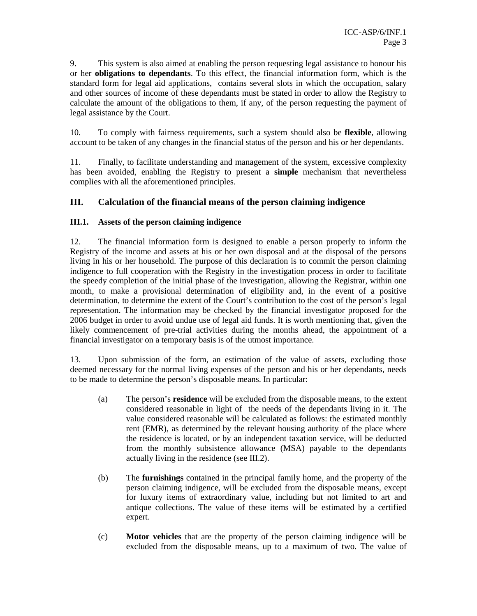9. This system is also aimed at enabling the person requesting legal assistance to honour his or her **obligations to dependants**. To this effect, the financial information form, which is the standard form for legal aid applications, contains several slots in which the occupation, salary and other sources of income of these dependants must be stated in order to allow the Registry to calculate the amount of the obligations to them, if any, of the person requesting the payment of legal assistance by the Court.

10. To comply with fairness requirements, such a system should also be **flexible**, allowing account to be taken of any changes in the financial status of the person and his or her dependants.

11. Finally, to facilitate understanding and management of the system, excessive complexity has been avoided, enabling the Registry to present a **simple** mechanism that nevertheless complies with all the aforementioned principles.

# **III. Calculation of the financial means of the person claiming indigence**

# **III.1. Assets of the person claiming indigence**

12. The financial information form is designed to enable a person properly to inform the Registry of the income and assets at his or her own disposal and at the disposal of the persons living in his or her household. The purpose of this declaration is to commit the person claiming indigence to full cooperation with the Registry in the investigation process in order to facilitate the speedy completion of the initial phase of the investigation, allowing the Registrar, within one month, to make a provisional determination of eligibility and, in the event of a positive determination, to determine the extent of the Court's contribution to the cost of the person's legal representation. The information may be checked by the financial investigator proposed for the 2006 budget in order to avoid undue use of legal aid funds. It is worth mentioning that, given the likely commencement of pre-trial activities during the months ahead, the appointment of a financial investigator on a temporary basis is of the utmost importance.

13. Upon submission of the form, an estimation of the value of assets, excluding those deemed necessary for the normal living expenses of the person and his or her dependants, needs to be made to determine the person's disposable means. In particular:

- (a) The person's **residence** will be excluded from the disposable means, to the extent considered reasonable in light of the needs of the dependants living in it. The value considered reasonable will be calculated as follows: the estimated monthly rent (EMR), as determined by the relevant housing authority of the place where the residence is located, or by an independent taxation service, will be deducted from the monthly subsistence allowance (MSA) payable to the dependants actually living in the residence (see III.2).
- (b) The **furnishings** contained in the principal family home, and the property of the person claiming indigence, will be excluded from the disposable means, except for luxury items of extraordinary value, including but not limited to art and antique collections. The value of these items will be estimated by a certified expert.
- (c) **Motor vehicles** that are the property of the person claiming indigence will be excluded from the disposable means, up to a maximum of two. The value of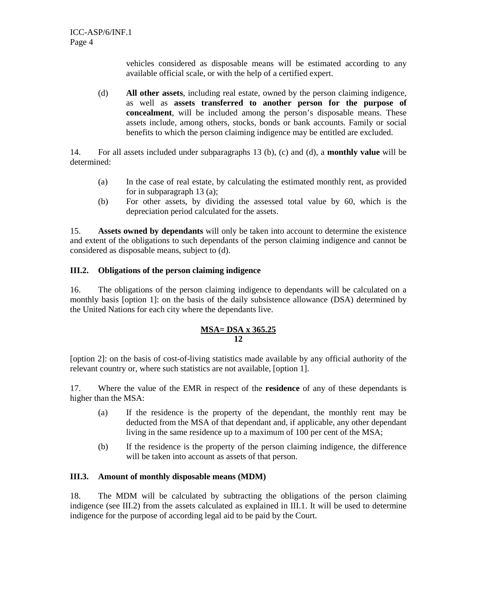vehicles considered as disposable means will be estimated according to any available official scale, or with the help of a certified expert.

(d) **All other assets**, including real estate, owned by the person claiming indigence, as well as **assets transferred to another person for the purpose of concealment**, will be included among the person's disposable means. These assets include, among others, stocks, bonds or bank accounts. Family or social benefits to which the person claiming indigence may be entitled are excluded.

14. For all assets included under subparagraphs 13 (b), (c) and (d), a **monthly value** will be determined:

- (a) In the case of real estate, by calculating the estimated monthly rent, as provided for in subparagraph 13 (a);
- (b) For other assets, by dividing the assessed total value by 60, which is the depreciation period calculated for the assets.

15. **Assets owned by dependants** will only be taken into account to determine the existence and extent of the obligations to such dependants of the person claiming indigence and cannot be considered as disposable means, subject to (d).

### **III.2. Obligations of the person claiming indigence**

16. The obligations of the person claiming indigence to dependants will be calculated on a monthly basis [option 1]: on the basis of the daily subsistence allowance (DSA) determined by the United Nations for each city where the dependants live.

#### **MSA= DSA x 365.25 12**

[option 2]: on the basis of cost-of-living statistics made available by any official authority of the relevant country or, where such statistics are not available, [option 1].

17. Where the value of the EMR in respect of the **residence** of any of these dependants is higher than the MSA:

- (a) If the residence is the property of the dependant, the monthly rent may be deducted from the MSA of that dependant and, if applicable, any other dependant living in the same residence up to a maximum of 100 per cent of the MSA;
- (b) If the residence is the property of the person claiming indigence, the difference will be taken into account as assets of that person.

#### **III.3. Amount of monthly disposable means (MDM)**

18. The MDM will be calculated by subtracting the obligations of the person claiming indigence (see III.2) from the assets calculated as explained in III.1. It will be used to determine indigence for the purpose of according legal aid to be paid by the Court.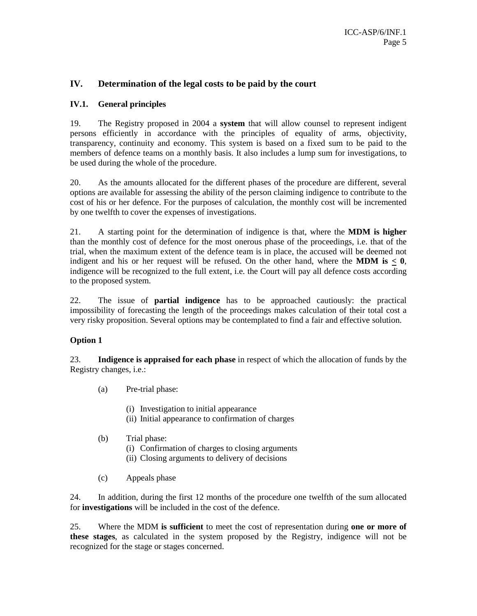# **IV. Determination of the legal costs to be paid by the court**

#### **IV.1. General principles**

19. The Registry proposed in 2004 a **system** that will allow counsel to represent indigent persons efficiently in accordance with the principles of equality of arms, objectivity, transparency, continuity and economy. This system is based on a fixed sum to be paid to the members of defence teams on a monthly basis. It also includes a lump sum for investigations, to be used during the whole of the procedure.

20. As the amounts allocated for the different phases of the procedure are different, several options are available for assessing the ability of the person claiming indigence to contribute to the cost of his or her defence. For the purposes of calculation, the monthly cost will be incremented by one twelfth to cover the expenses of investigations.

21. A starting point for the determination of indigence is that, where the **MDM is higher** than the monthly cost of defence for the most onerous phase of the proceedings, i.e. that of the trial, when the maximum extent of the defence team is in place, the accused will be deemed not indigent and his or her request will be refused. On the other hand, where the **MDM is**  $< 0$ , indigence will be recognized to the full extent, i.e. the Court will pay all defence costs according to the proposed system.

22. The issue of **partial indigence** has to be approached cautiously: the practical impossibility of forecasting the length of the proceedings makes calculation of their total cost a very risky proposition. Several options may be contemplated to find a fair and effective solution.

# **Option 1**

23. **Indigence is appraised for each phase** in respect of which the allocation of funds by the Registry changes, i.e.:

- (a) Pre-trial phase:
	- (i) Investigation to initial appearance
	- (ii) Initial appearance to confirmation of charges
- (b) Trial phase:
	- (i) Confirmation of charges to closing arguments
	- (ii) Closing arguments to delivery of decisions
- (c) Appeals phase

24. In addition, during the first 12 months of the procedure one twelfth of the sum allocated for **investigations** will be included in the cost of the defence.

25. Where the MDM **is sufficient** to meet the cost of representation during **one or more of these stages**, as calculated in the system proposed by the Registry, indigence will not be recognized for the stage or stages concerned.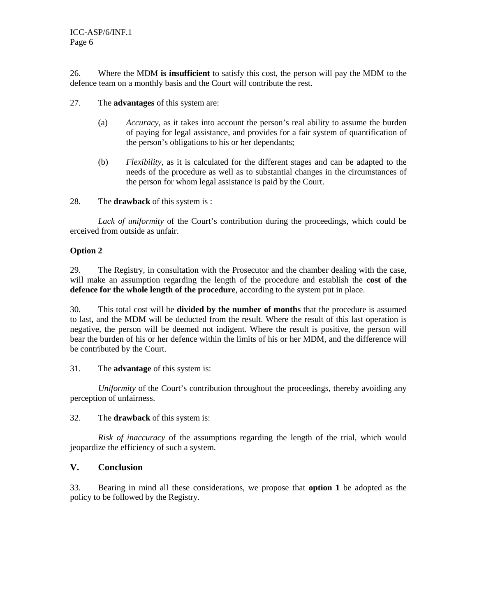ICC-ASP/6/INF.1 Page 6

26. Where the MDM **is insufficient** to satisfy this cost, the person will pay the MDM to the defence team on a monthly basis and the Court will contribute the rest.

27. The **advantages** of this system are:

- (a) *Accuracy*, as it takes into account the person's real ability to assume the burden of paying for legal assistance, and provides for a fair system of quantification of the person's obligations to his or her dependants;
- (b) *Flexibility*, as it is calculated for the different stages and can be adapted to the needs of the procedure as well as to substantial changes in the circumstances of the person for whom legal assistance is paid by the Court.

28. The **drawback** of this system is :

*Lack of uniformity* of the Court's contribution during the proceedings, which could be erceived from outside as unfair.

#### **Option 2**

29. The Registry, in consultation with the Prosecutor and the chamber dealing with the case, will make an assumption regarding the length of the procedure and establish the **cost of the defence for the whole length of the procedure**, according to the system put in place.

30. This total cost will be **divided by the number of months** that the procedure is assumed to last, and the MDM will be deducted from the result. Where the result of this last operation is negative, the person will be deemed not indigent. Where the result is positive, the person will bear the burden of his or her defence within the limits of his or her MDM, and the difference will be contributed by the Court.

31. The **advantage** of this system is:

*Uniformity* of the Court's contribution throughout the proceedings, thereby avoiding any perception of unfairness.

32. The **drawback** of this system is:

*Risk of inaccuracy* of the assumptions regarding the length of the trial, which would jeopardize the efficiency of such a system.

### **V. Conclusion**

33. Bearing in mind all these considerations, we propose that **option 1** be adopted as the policy to be followed by the Registry.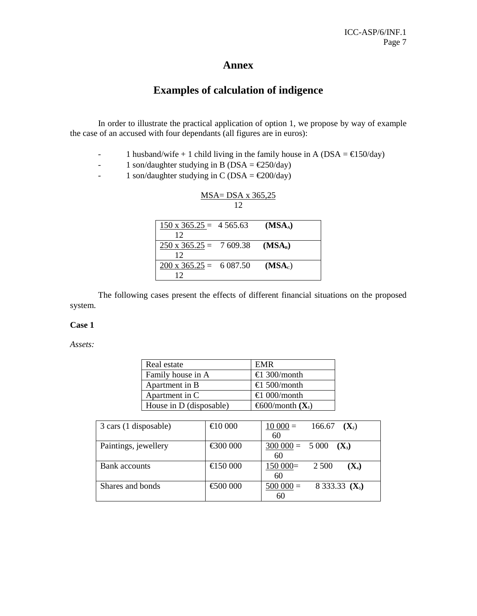# **Annex**

# **Examples of calculation of indigence**

In order to illustrate the practical application of option 1, we propose by way of example the case of an accused with four dependants (all figures are in euros):

- 1 husband/wife + 1 child living in the family house in A (DSA =  $\epsilon$ 150/day)
- 1 son/daughter studying in B (DSA =  $\epsilon$ 250/day)
- 1 son/daughter studying in C (DSA =  $\epsilon$ 200/day)

| $MSA = DSA \times 365,25$     |    |                     |  |
|-------------------------------|----|---------------------|--|
|                               | 12 |                     |  |
|                               |    |                     |  |
| $150 \times 365.25 = 4565.63$ |    | (MSA <sub>A</sub> ) |  |
| 12                            |    |                     |  |
| $250 \times 365.25 = 7609.38$ |    | (MSA <sub>B</sub> ) |  |
| 12                            |    |                     |  |
| $200 \times 365.25 = 6087.50$ |    | (MSA <sub>c</sub> ) |  |
| 12                            |    |                     |  |

The following cases present the effects of different financial situations on the proposed system.

#### **Case 1**

*Assets:* 

| Real estate             | EMR                          |
|-------------------------|------------------------------|
| Family house in A       | €1 300/month                 |
| Apartment in B          | €1 500/month                 |
| Apartment in C          | €1 000/month                 |
| House in D (disposable) | €600/month( $\mathbf{X}_1$ ) |

| 3 cars (1 disposable) | €10000   | $10000=$            | 166.67 $(X_2)$   |
|-----------------------|----------|---------------------|------------------|
|                       |          | 60                  |                  |
| Paintings, jewellery  | €300000  | $300\,000 = 5\,000$ | $(X_3)$          |
|                       |          | 60                  |                  |
| <b>Bank</b> accounts  | €150 000 | 150 000             | 2 500<br>$(X_4)$ |
|                       |          | 60                  |                  |
| Shares and bonds      | €500000  | $500000=$           | 8 333.33 $(X_5)$ |
|                       |          | 60                  |                  |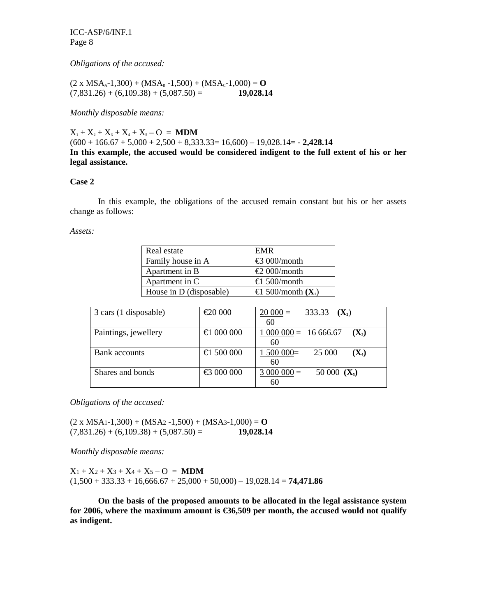ICC-ASP/6/INF.1 Page 8

*Obligations of the accused:* 

 $(2 \times MSA<sub>A</sub>-1,300) + (MSA<sub>B</sub>-1,500) + (MSA<sub>C</sub>-1,000) = 0$  $(7,831.26) + (6,109.38) + (5,087.50) =$  **19,028.14** 

*Monthly disposable means:* 

 $X_1 + X_2 + X_3 + X_4 + X_5 - O = MDM$  $(600 + 166.67 + 5,000 + 2,500 + 8,333.33 = 16,600) - 19,028.14 = -2,428.14$ **In this example, the accused would be considered indigent to the full extent of his or her legal assistance.** 

#### **Case 2**

In this example, the obligations of the accused remain constant but his or her assets change as follows:

*Assets:* 

| Real estate             | <b>EMR</b>                        |
|-------------------------|-----------------------------------|
| Family house in A       | €3 000/month                      |
| Apartment in B          | $\text{\textsterling}2000/m$ onth |
| Apartment in C          | €1.500/month                      |
| House in D (disposable) | €1 500/month( $\mathbf{X}_1$ )    |

| 3 cars (1 disposable) | €20000     | $20000=$<br>333.33 $(X_2)$             |
|-----------------------|------------|----------------------------------------|
|                       |            | 60                                     |
| Paintings, jewellery  | €1000000   | $1\,000\,000 = 16\,666.67$<br>$(X_3)$  |
|                       |            | 60                                     |
| Bank accounts         | €1 500 000 | $1,500,000 \pm 1$<br>25 000<br>$(X_4)$ |
|                       |            | 60                                     |
| Shares and bonds      | €3000000   | $3000000=$<br>50 000 $(X_5)$           |
|                       |            | 60                                     |

*Obligations of the accused:* 

 $(2 \times MSA1-1,300) + (MSA2-1,500) + (MSA3-1,000) = 0$  $(7,831.26) + (6,109.38) + (5,087.50) =$  **19,028.14** 

*Monthly disposable means:* 

 $X_1 + X_2 + X_3 + X_4 + X_5 - O = MDM$  $(1,500 + 333.33 + 16,666.67 + 25,000 + 50,000) - 19,028.14 = 74,471.86$ 

**On the basis of the proposed amounts to be allocated in the legal assistance system for 2006, where the maximum amount is €36,509 per month, the accused would not qualify as indigent.**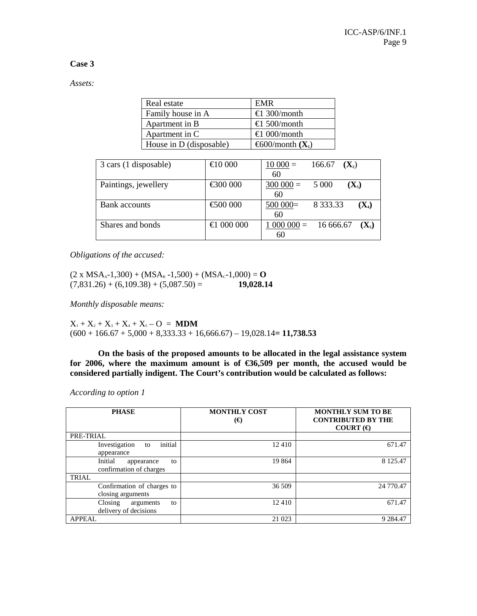### **Case 3**

*Assets:* 

| Real estate             | <b>EMR</b>                    |
|-------------------------|-------------------------------|
| Family house in A       | €1 300/month                  |
| Apartment in B          | €1 500/month                  |
| Apartment in C          | €1 000/month                  |
| House in D (disposable) | $\epsilon$ 600/month( $X_1$ ) |

| 3 cars (1 disposable) | €10000                          | $10000=$    | 166.67<br>$(X_2)$      |
|-----------------------|---------------------------------|-------------|------------------------|
|                       |                                 | 60          |                        |
| Paintings, jewellery  | €300000                         | $300\,000=$ | $(X_3)$<br>5 0 0 0     |
|                       |                                 | 60          |                        |
| <b>Bank</b> accounts  | €500000                         | 500 000     | $(X_4)$                |
|                       |                                 | 60          |                        |
| Shares and bonds      | $\text{\textsterling}1$ 000 000 | $1000000=$  | 16 666.67<br>$(X_{5})$ |
|                       |                                 | 60          |                        |

*Obligations of the accused:* 

 $(2 \times MSA<sub>A</sub>-1,300) + (MSA<sub>B</sub>-1,500) + (MSA<sub>C</sub>-1,000) = 0$  $(7,831.26) + (6,109.38) + (5,087.50) =$  **19,028.14** 

*Monthly disposable means:* 

 $X_1 + X_2 + X_3 + X_4 + X_5 - O = MDM$  $(600 + 166.67 + 5{,}000 + 8{,}333.33 + 16{,}666.67) - 19{,}028.14 = 11{,}738.53$ 

**On the basis of the proposed amounts to be allocated in the legal assistance system**  for 2006, where the maximum amount is of  $\epsilon$ 36,509 per month, the accused would be **considered partially indigent. The Court's contribution would be calculated as follows:** 

*According to option 1* 

| <b>PHASE</b>                                           | <b>MONTHLY COST</b><br>$(\boldsymbol{\epsilon})$ | <b>MONTHLY SUM TO BE</b><br><b>CONTRIBUTED BY THE</b><br>COURT $(\epsilon)$ |
|--------------------------------------------------------|--------------------------------------------------|-----------------------------------------------------------------------------|
| PRE-TRIAL                                              |                                                  |                                                                             |
| initial<br>Investigation<br>to<br>appearance           | 12410                                            | 671.47                                                                      |
| Initial<br>to<br>appearance<br>confirmation of charges | 19 864                                           | 8 1 2 5 . 4 7                                                               |
| TRIAL                                                  |                                                  |                                                                             |
| Confirmation of charges to<br>closing arguments        | 36 509                                           | 24 770.47                                                                   |
| Closing<br>arguments<br>to<br>delivery of decisions    | 12 4 10                                          | 671.47                                                                      |
| <b>APPEAL</b>                                          | 21 023                                           | 9 2 8 4.47                                                                  |